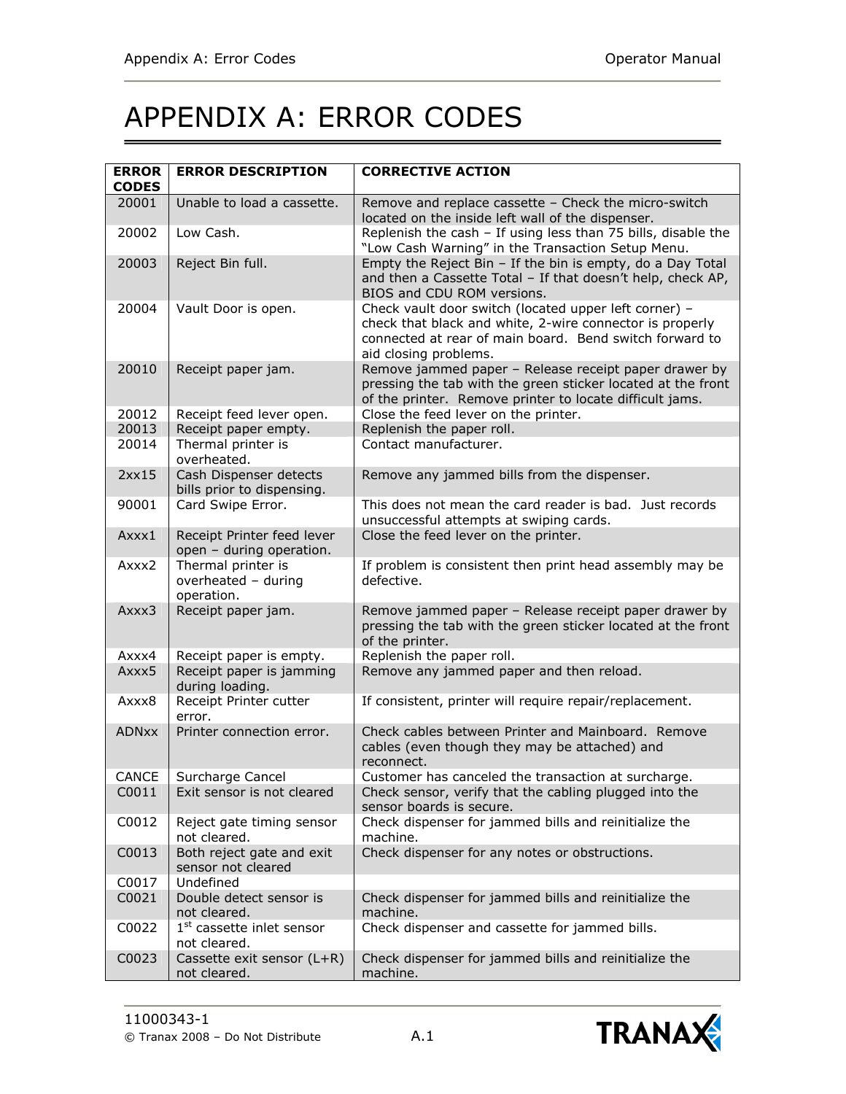## APPENDIX A: ERROR CODES

| <b>ERROR</b><br><b>CODES</b> | <b>ERROR DESCRIPTION</b>                                | <b>CORRECTIVE ACTION</b>                                                                                                                                                                              |
|------------------------------|---------------------------------------------------------|-------------------------------------------------------------------------------------------------------------------------------------------------------------------------------------------------------|
| 20001                        | Unable to load a cassette.                              | Remove and replace cassette - Check the micro-switch<br>located on the inside left wall of the dispenser.                                                                                             |
| 20002                        | Low Cash.                                               | Replenish the cash - If using less than 75 bills, disable the<br>"Low Cash Warning" in the Transaction Setup Menu.                                                                                    |
| 20003                        | Reject Bin full.                                        | Empty the Reject Bin - If the bin is empty, do a Day Total<br>and then a Cassette Total - If that doesn't help, check AP,<br>BIOS and CDU ROM versions.                                               |
| 20004                        | Vault Door is open.                                     | Check vault door switch (located upper left corner) -<br>check that black and white, 2-wire connector is properly<br>connected at rear of main board. Bend switch forward to<br>aid closing problems. |
| 20010                        | Receipt paper jam.                                      | Remove jammed paper - Release receipt paper drawer by<br>pressing the tab with the green sticker located at the front<br>of the printer. Remove printer to locate difficult jams.                     |
| 20012                        | Receipt feed lever open.                                | Close the feed lever on the printer.                                                                                                                                                                  |
| 20013                        | Receipt paper empty.                                    | Replenish the paper roll.                                                                                                                                                                             |
| 20014                        | Thermal printer is<br>overheated.                       | Contact manufacturer.                                                                                                                                                                                 |
| 2xx15                        | Cash Dispenser detects<br>bills prior to dispensing.    | Remove any jammed bills from the dispenser.                                                                                                                                                           |
| 90001                        | Card Swipe Error.                                       | This does not mean the card reader is bad. Just records<br>unsuccessful attempts at swiping cards.                                                                                                    |
| $A$ xxx1                     | Receipt Printer feed lever<br>open - during operation.  | Close the feed lever on the printer.                                                                                                                                                                  |
| Axxx2                        | Thermal printer is<br>overheated - during<br>operation. | If problem is consistent then print head assembly may be<br>defective.                                                                                                                                |
| Axxx3                        | Receipt paper jam.                                      | Remove jammed paper - Release receipt paper drawer by<br>pressing the tab with the green sticker located at the front<br>of the printer.                                                              |
| Axxx4                        | Receipt paper is empty.                                 | Replenish the paper roll.                                                                                                                                                                             |
| Axxx5                        | Receipt paper is jamming<br>during loading.             | Remove any jammed paper and then reload.                                                                                                                                                              |
| Axxx8                        | Receipt Printer cutter<br>error.                        | If consistent, printer will require repair/replacement.                                                                                                                                               |
| <b>ADNxx</b>                 | Printer connection error.                               | Check cables between Printer and Mainboard. Remove<br>cables (even though they may be attached) and<br>reconnect.                                                                                     |
| CANCE                        | Surcharge Cancel                                        | Customer has canceled the transaction at surcharge.                                                                                                                                                   |
| C0011                        | Exit sensor is not cleared                              | Check sensor, verify that the cabling plugged into the<br>sensor boards is secure.                                                                                                                    |
| C0012                        | Reject gate timing sensor<br>not cleared.               | Check dispenser for jammed bills and reinitialize the<br>machine.                                                                                                                                     |
| C0013                        | Both reject gate and exit<br>sensor not cleared         | Check dispenser for any notes or obstructions.                                                                                                                                                        |
| C0017                        | Undefined                                               |                                                                                                                                                                                                       |
| C0021                        | Double detect sensor is<br>not cleared.                 | Check dispenser for jammed bills and reinitialize the<br>machine.                                                                                                                                     |
| C0022                        | $1st$ cassette inlet sensor<br>not cleared.             | Check dispenser and cassette for jammed bills.                                                                                                                                                        |
| C0023                        | Cassette exit sensor (L+R)<br>not cleared.              | Check dispenser for jammed bills and reinitialize the<br>machine.                                                                                                                                     |

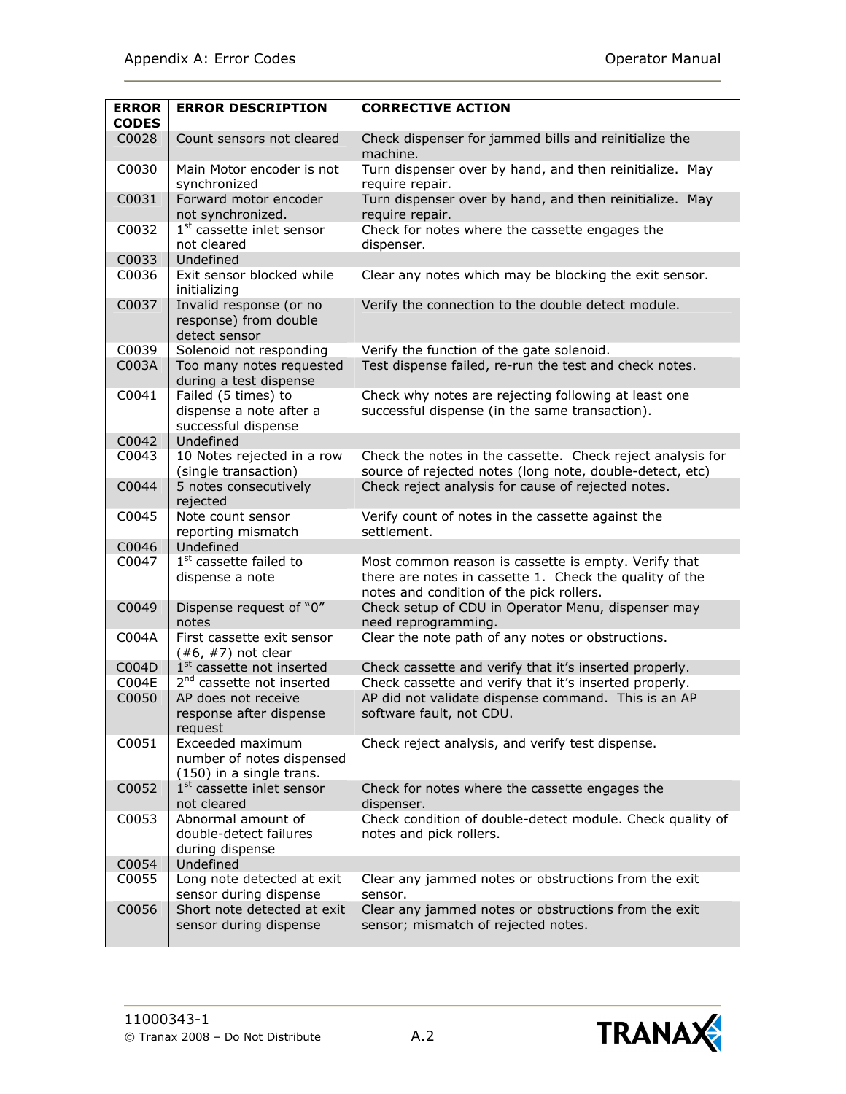|                              | <b>ERROR DESCRIPTION</b>                                                  |                                                                                                                                                             |
|------------------------------|---------------------------------------------------------------------------|-------------------------------------------------------------------------------------------------------------------------------------------------------------|
| <b>ERROR</b><br><b>CODES</b> |                                                                           | <b>CORRECTIVE ACTION</b>                                                                                                                                    |
| C0028                        | Count sensors not cleared                                                 | Check dispenser for jammed bills and reinitialize the<br>machine.                                                                                           |
| C0030                        | Main Motor encoder is not<br>synchronized                                 | Turn dispenser over by hand, and then reinitialize. May<br>require repair.                                                                                  |
| C0031                        | Forward motor encoder<br>not synchronized.                                | Turn dispenser over by hand, and then reinitialize. May<br>require repair.                                                                                  |
| C0032                        | 1 <sup>st</sup> cassette inlet sensor<br>not cleared                      | Check for notes where the cassette engages the<br>dispenser.                                                                                                |
| C0033                        | Undefined                                                                 |                                                                                                                                                             |
| C0036                        | Exit sensor blocked while<br>initializing                                 | Clear any notes which may be blocking the exit sensor.                                                                                                      |
| C0037                        | Invalid response (or no<br>response) from double<br>detect sensor         | Verify the connection to the double detect module.                                                                                                          |
| C0039                        | Solenoid not responding                                                   | Verify the function of the gate solenoid.                                                                                                                   |
| C003A                        | Too many notes requested<br>during a test dispense                        | Test dispense failed, re-run the test and check notes.                                                                                                      |
| C0041                        | Failed (5 times) to<br>dispense a note after a<br>successful dispense     | Check why notes are rejecting following at least one<br>successful dispense (in the same transaction).                                                      |
| C0042                        | Undefined                                                                 |                                                                                                                                                             |
| C0043                        | 10 Notes rejected in a row<br>(single transaction)                        | Check the notes in the cassette. Check reject analysis for<br>source of rejected notes (long note, double-detect, etc)                                      |
| C0044                        | 5 notes consecutively<br>rejected                                         | Check reject analysis for cause of rejected notes.                                                                                                          |
| C0045                        | Note count sensor<br>reporting mismatch                                   | Verify count of notes in the cassette against the<br>settlement.                                                                                            |
| C0046                        | Undefined                                                                 |                                                                                                                                                             |
| C0047                        | 1 <sup>st</sup> cassette failed to<br>dispense a note                     | Most common reason is cassette is empty. Verify that<br>there are notes in cassette 1. Check the quality of the<br>notes and condition of the pick rollers. |
| C0049                        | Dispense request of "0"<br>notes                                          | Check setup of CDU in Operator Menu, dispenser may<br>need reprogramming.                                                                                   |
| C004A                        | First cassette exit sensor<br>$(*6, #7)$ not clear                        | Clear the note path of any notes or obstructions.                                                                                                           |
| C004D                        | 1 <sup>st</sup> cassette not inserted                                     | Check cassette and verify that it's inserted properly.                                                                                                      |
| C004E                        | 2 <sup>nd</sup> cassette not inserted                                     | Check cassette and verify that it's inserted properly.                                                                                                      |
| C0050                        | AP does not receive                                                       | AP did not validate dispense command. This is an AP                                                                                                         |
|                              | response after dispense<br>request                                        | software fault, not CDU.                                                                                                                                    |
| C0051                        | Exceeded maximum<br>number of notes dispensed<br>(150) in a single trans. | Check reject analysis, and verify test dispense.                                                                                                            |
| C0052                        | 1 <sup>st</sup> cassette inlet sensor<br>not cleared                      | Check for notes where the cassette engages the<br>dispenser.                                                                                                |
| C0053                        | Abnormal amount of<br>double-detect failures<br>during dispense           | Check condition of double-detect module. Check quality of<br>notes and pick rollers.                                                                        |
| C0054                        | Undefined                                                                 |                                                                                                                                                             |
| C0055                        | Long note detected at exit<br>sensor during dispense                      | Clear any jammed notes or obstructions from the exit<br>sensor.                                                                                             |
| C0056                        | Short note detected at exit<br>sensor during dispense                     | Clear any jammed notes or obstructions from the exit<br>sensor; mismatch of rejected notes.                                                                 |

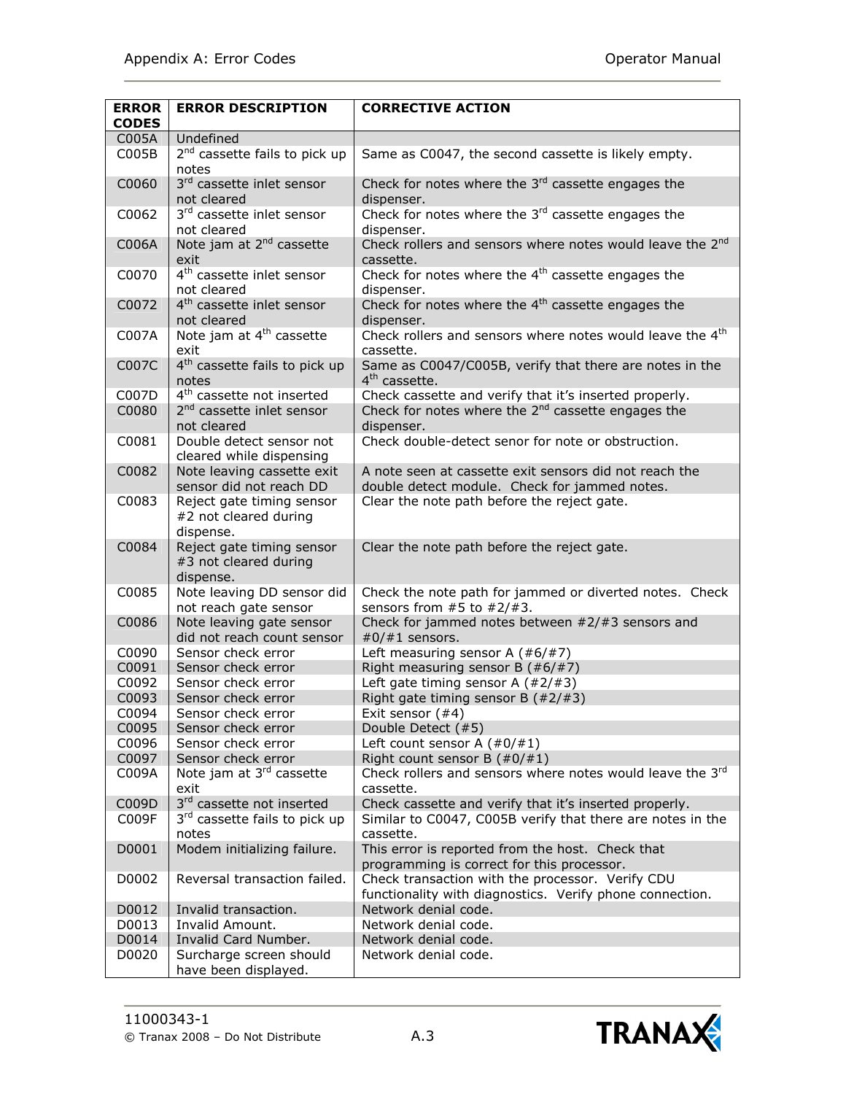| <b>ERROR</b> | <b>ERROR DESCRIPTION</b>                                        | <b>CORRECTIVE ACTION</b>                                                                                     |
|--------------|-----------------------------------------------------------------|--------------------------------------------------------------------------------------------------------------|
| <b>CODES</b> |                                                                 |                                                                                                              |
| C005A        | Undefined                                                       |                                                                                                              |
| COO5B        | 2 <sup>nd</sup> cassette fails to pick up<br>notes              | Same as C0047, the second cassette is likely empty.                                                          |
| C0060        | 3rd cassette inlet sensor<br>not cleared                        | Check for notes where the $3rd$ cassette engages the<br>dispenser.                                           |
| C0062        | 3rd cassette inlet sensor                                       | Check for notes where the $3rd$ cassette engages the                                                         |
| C006A        | not cleared<br>Note jam at 2 <sup>nd</sup> cassette             | dispenser.<br>Check rollers and sensors where notes would leave the 2 <sup>nd</sup>                          |
|              | exit                                                            | cassette.                                                                                                    |
| C0070        | 4 <sup>th</sup> cassette inlet sensor<br>not cleared            | Check for notes where the $4th$ cassette engages the<br>dispenser.                                           |
| C0072        | 4 <sup>th</sup> cassette inlet sensor<br>not cleared            | Check for notes where the 4 <sup>th</sup> cassette engages the<br>dispenser.                                 |
| C007A        | Note jam at 4 <sup>th</sup> cassette<br>exit                    | Check rollers and sensors where notes would leave the 4 <sup>th</sup><br>cassette.                           |
| C007C        | 4 <sup>th</sup> cassette fails to pick up<br>notes              | Same as C0047/C005B, verify that there are notes in the<br>4 <sup>th</sup> cassette.                         |
| C007D        | 4 <sup>th</sup> cassette not inserted                           | Check cassette and verify that it's inserted properly.                                                       |
| C0080        | 2 <sup>nd</sup> cassette inlet sensor<br>not cleared            | Check for notes where the $2nd$ cassette engages the<br>dispenser.                                           |
| C0081        | Double detect sensor not<br>cleared while dispensing            | Check double-detect senor for note or obstruction.                                                           |
| C0082        | Note leaving cassette exit<br>sensor did not reach DD           | A note seen at cassette exit sensors did not reach the<br>double detect module. Check for jammed notes.      |
| C0083        | Reject gate timing sensor<br>#2 not cleared during<br>dispense. | Clear the note path before the reject gate.                                                                  |
| C0084        | Reject gate timing sensor<br>#3 not cleared during<br>dispense. | Clear the note path before the reject gate.                                                                  |
| C0085        | Note leaving DD sensor did<br>not reach gate sensor             | Check the note path for jammed or diverted notes. Check<br>sensors from $#5$ to $#2/#3$ .                    |
| C0086        | Note leaving gate sensor<br>did not reach count sensor          | Check for jammed notes between $#2/#3$ sensors and<br>$#0/\#1$ sensors.                                      |
| C0090        | Sensor check error                                              | Left measuring sensor A $(\#6/\#7)$                                                                          |
| C0091        | Sensor check error                                              | Right measuring sensor B $(*6/#7)$                                                                           |
| C0092        | Sensor check error                                              | Left gate timing sensor A $(\#2/\#3)$                                                                        |
| C0093        | Sensor check error                                              | Right gate timing sensor B $(\#2/\#3)$                                                                       |
| C0094        | Sensor check error                                              | Exit sensor (#4)                                                                                             |
| C0095        | Sensor check error                                              | Double Detect (#5)                                                                                           |
| C0096        | Sensor check error                                              | Left count sensor A $(\#0/\#1)$                                                                              |
| C0097        | Sensor check error                                              | Right count sensor B $(\#0/\#1)$                                                                             |
| C009A        | Note jam at 3rd cassette<br>exit                                | Check rollers and sensors where notes would leave the 3rd<br>cassette.                                       |
| C009D        | 3rd cassette not inserted                                       | Check cassette and verify that it's inserted properly.                                                       |
| C009F        | 3 <sup>rd</sup> cassette fails to pick up<br>notes              | Similar to C0047, C005B verify that there are notes in the<br>cassette.                                      |
| D0001        | Modem initializing failure.                                     | This error is reported from the host. Check that<br>programming is correct for this processor.               |
| D0002        | Reversal transaction failed.                                    | Check transaction with the processor. Verify CDU<br>functionality with diagnostics. Verify phone connection. |
| D0012        | Invalid transaction.                                            | Network denial code.                                                                                         |
| D0013        | Invalid Amount.                                                 | Network denial code.                                                                                         |
| D0014        | Invalid Card Number.                                            | Network denial code.                                                                                         |
| D0020        | Surcharge screen should                                         | Network denial code.                                                                                         |
|              | have been displayed.                                            |                                                                                                              |

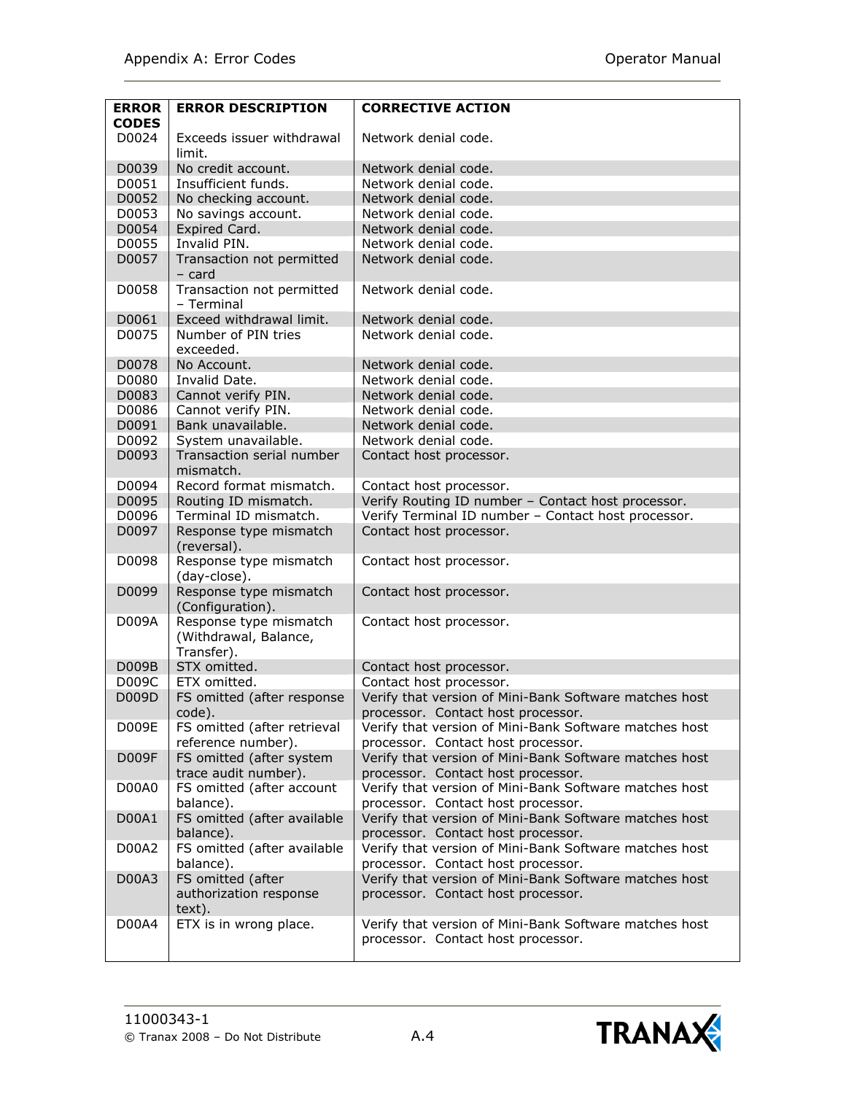| <b>ERROR</b><br><b>CODES</b> | <b>ERROR DESCRIPTION</b>                                      | <b>CORRECTIVE ACTION</b>                                                                     |
|------------------------------|---------------------------------------------------------------|----------------------------------------------------------------------------------------------|
| D0024                        | Exceeds issuer withdrawal<br>limit.                           | Network denial code.                                                                         |
| D0039                        | No credit account.                                            | Network denial code.                                                                         |
| D0051                        | Insufficient funds.                                           | Network denial code.                                                                         |
| D0052                        | No checking account.                                          | Network denial code.                                                                         |
| D0053                        | No savings account.                                           | Network denial code.                                                                         |
| D0054                        | Expired Card.                                                 | Network denial code.                                                                         |
| D0055                        | Invalid PIN.                                                  | Network denial code.                                                                         |
| D0057                        | Transaction not permitted<br>$-$ card                         | Network denial code.                                                                         |
| D0058                        | Transaction not permitted<br>- Terminal                       | Network denial code.                                                                         |
| D0061                        | Exceed withdrawal limit.                                      | Network denial code.                                                                         |
| D0075                        | Number of PIN tries<br>exceeded.                              | Network denial code.                                                                         |
| D0078                        | No Account.                                                   | Network denial code.                                                                         |
| D0080                        | Invalid Date.                                                 | Network denial code.                                                                         |
| D0083                        | Cannot verify PIN.                                            | Network denial code.                                                                         |
| D0086                        | Cannot verify PIN.                                            | Network denial code.                                                                         |
| D0091                        | Bank unavailable.                                             | Network denial code.                                                                         |
| D0092                        | System unavailable.                                           | Network denial code.                                                                         |
| D0093                        | Transaction serial number<br>mismatch.                        | Contact host processor.                                                                      |
| D0094                        | Record format mismatch.                                       | Contact host processor.                                                                      |
| D0095                        | Routing ID mismatch.                                          | Verify Routing ID number - Contact host processor.                                           |
| D0096                        | Terminal ID mismatch.                                         | Verify Terminal ID number - Contact host processor.                                          |
| D0097                        | Response type mismatch<br>(reversal).                         | Contact host processor.                                                                      |
| D0098                        | Response type mismatch<br>(day-close).                        | Contact host processor.                                                                      |
| D0099                        | Response type mismatch<br>(Configuration).                    | Contact host processor.                                                                      |
| <b>D009A</b>                 | Response type mismatch<br>(Withdrawal, Balance,<br>Transfer). | Contact host processor.                                                                      |
| D009B                        | STX omitted.                                                  | Contact host processor.                                                                      |
| D009C                        | ETX omitted.                                                  | Contact host processor.                                                                      |
| D009D                        | FS omitted (after response<br>code).                          | Verify that version of Mini-Bank Software matches host<br>processor. Contact host processor. |
| D009E                        | FS omitted (after retrieval<br>reference number).             | Verify that version of Mini-Bank Software matches host<br>processor. Contact host processor. |
| D009F                        | FS omitted (after system<br>trace audit number).              | Verify that version of Mini-Bank Software matches host<br>processor. Contact host processor. |
| D00A0                        | FS omitted (after account<br>balance).                        | Verify that version of Mini-Bank Software matches host<br>processor. Contact host processor. |
| D00A1                        | FS omitted (after available<br>balance).                      | Verify that version of Mini-Bank Software matches host<br>processor. Contact host processor. |
| <b>D00A2</b>                 | FS omitted (after available<br>balance).                      | Verify that version of Mini-Bank Software matches host<br>processor. Contact host processor. |
| D00A3                        | FS omitted (after<br>authorization response<br>text).         | Verify that version of Mini-Bank Software matches host<br>processor. Contact host processor. |
| D00A4                        | ETX is in wrong place.                                        | Verify that version of Mini-Bank Software matches host<br>processor. Contact host processor. |

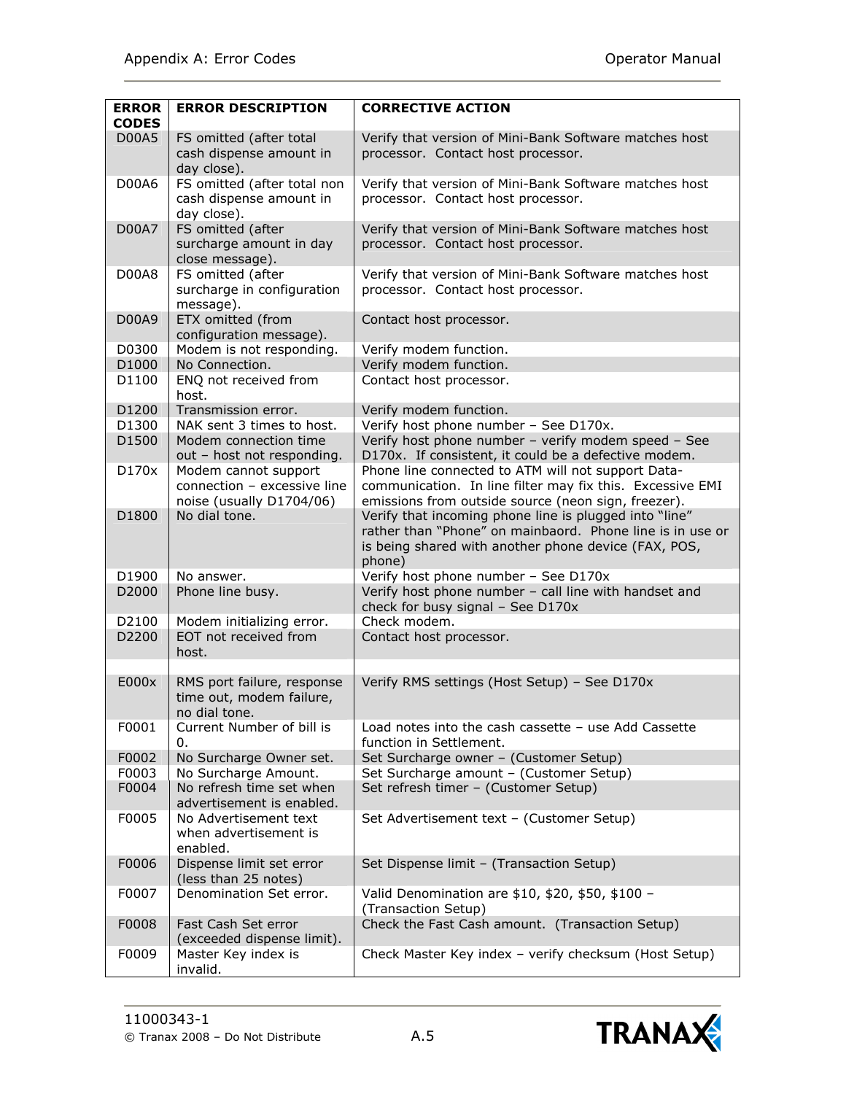| <b>ERROR</b><br><b>CODES</b> | <b>ERROR DESCRIPTION</b>                                                        | <b>CORRECTIVE ACTION</b>                                                                                                                                                              |
|------------------------------|---------------------------------------------------------------------------------|---------------------------------------------------------------------------------------------------------------------------------------------------------------------------------------|
| <b>D00A5</b>                 | FS omitted (after total<br>cash dispense amount in<br>day close).               | Verify that version of Mini-Bank Software matches host<br>processor. Contact host processor.                                                                                          |
| D00A6                        | FS omitted (after total non<br>cash dispense amount in<br>day close).           | Verify that version of Mini-Bank Software matches host<br>processor. Contact host processor.                                                                                          |
| <b>D00A7</b>                 | FS omitted (after<br>surcharge amount in day<br>close message).                 | Verify that version of Mini-Bank Software matches host<br>processor. Contact host processor.                                                                                          |
| <b>D00A8</b>                 | FS omitted (after<br>surcharge in configuration<br>message).                    | Verify that version of Mini-Bank Software matches host<br>processor. Contact host processor.                                                                                          |
| D00A9                        | ETX omitted (from<br>configuration message).                                    | Contact host processor.                                                                                                                                                               |
| D0300                        | Modem is not responding.                                                        | Verify modem function.                                                                                                                                                                |
| D1000                        | No Connection.                                                                  | Verify modem function.                                                                                                                                                                |
| D1100                        | ENQ not received from<br>host.                                                  | Contact host processor.                                                                                                                                                               |
| D1200                        | Transmission error.                                                             | Verify modem function.                                                                                                                                                                |
| D1300                        | NAK sent 3 times to host.                                                       | Verify host phone number - See D170x.                                                                                                                                                 |
| D1500                        | Modem connection time<br>out - host not responding.                             | Verify host phone number - verify modem speed - See<br>D170x. If consistent, it could be a defective modem.                                                                           |
| D170x                        | Modem cannot support<br>connection - excessive line<br>noise (usually D1704/06) | Phone line connected to ATM will not support Data-<br>communication. In line filter may fix this. Excessive EMI<br>emissions from outside source (neon sign, freezer).                |
| D1800                        | No dial tone.                                                                   | Verify that incoming phone line is plugged into "line"<br>rather than "Phone" on mainbaord. Phone line is in use or<br>is being shared with another phone device (FAX, POS,<br>phone) |
| D1900                        | No answer.                                                                      | Verify host phone number - See D170x                                                                                                                                                  |
| D2000                        | Phone line busy.                                                                | Verify host phone number - call line with handset and<br>check for busy signal - See D170x                                                                                            |
| D2100                        | Modem initializing error.                                                       | Check modem.                                                                                                                                                                          |
| D2200                        | EOT not received from<br>host.                                                  | Contact host processor.                                                                                                                                                               |
|                              |                                                                                 |                                                                                                                                                                                       |
| E000x                        | RMS port failure, response<br>time out, modem failure,<br>no dial tone.         | Verify RMS settings (Host Setup) - See D170x                                                                                                                                          |
| F0001                        | Current Number of bill is<br>0.                                                 | Load notes into the cash cassette - use Add Cassette<br>function in Settlement.                                                                                                       |
| F0002                        | No Surcharge Owner set.                                                         | Set Surcharge owner - (Customer Setup)                                                                                                                                                |
| F0003                        | No Surcharge Amount.                                                            | Set Surcharge amount - (Customer Setup)                                                                                                                                               |
| F0004                        | No refresh time set when<br>advertisement is enabled.                           | Set refresh timer - (Customer Setup)                                                                                                                                                  |
| F0005                        | No Advertisement text<br>when advertisement is<br>enabled.                      | Set Advertisement text - (Customer Setup)                                                                                                                                             |
| F0006                        | Dispense limit set error<br>(less than 25 notes)                                | Set Dispense limit - (Transaction Setup)                                                                                                                                              |
| F0007                        | Denomination Set error.                                                         | Valid Denomination are \$10, \$20, \$50, \$100 -<br>(Transaction Setup)                                                                                                               |
| F0008                        | Fast Cash Set error<br>(exceeded dispense limit).                               | Check the Fast Cash amount. (Transaction Setup)                                                                                                                                       |
| F0009                        | Master Key index is<br>invalid.                                                 | Check Master Key index - verify checksum (Host Setup)                                                                                                                                 |